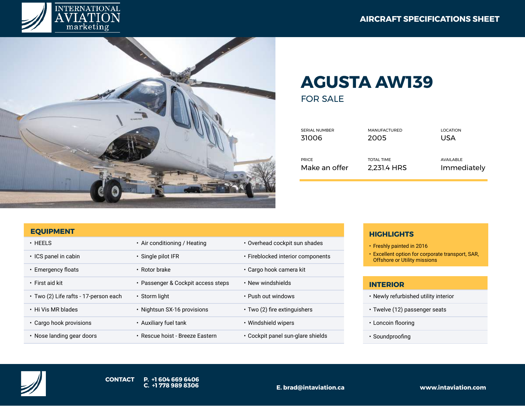



## **AGUSTA AW139**

FOR SALE

| <b>SERIAL NUMBER</b> | <b>MANUFACTURED</b> | <b>LOCATION</b> |
|----------------------|---------------------|-----------------|
| 31006                | 2005                | USA             |
| <b>PRICE</b>         | <b>TOTAL TIME</b>   | AVAILABLE       |
| Make an offer        | 2,231.4 HRS         | Immediately     |

## **EQUIPMENT**

| $\cdot$ HEELS                         | • Air conditioning / Heating       | • Overhead cockpit sun shades      |
|---------------------------------------|------------------------------------|------------------------------------|
| • ICS panel in cabin                  | $\cdot$ Single pilot IFR           | • Fireblocked interior components  |
| • Emergency floats                    | • Rotor brake                      | • Cargo hook camera kit            |
| • First aid kit                       | • Passenger & Cockpit access steps | • New windshields                  |
| • Two (2) Life rafts - 17-person each | $\cdot$ Storm light                | • Push out windows                 |
| • Hi Vis MR blades                    | · Nightsun SX-16 provisions        | $\cdot$ Two (2) fire extinguishers |
| • Cargo hook provisions               | • Auxiliary fuel tank              | • Windshield wipers                |
| $\cdot$ Nose landing gear doors       | • Rescue hoist - Breeze Eastern    | • Cockpit panel sun-glare shields  |
|                                       |                                    |                                    |

## **HIGHLIGHTS**

- Freshly painted in 2016
- Excellent option for corporate transport, SAR, Offshore or Utility missions

## **INTERIOR**

- Newly refurbished utility interior
- Twelve (12) passenger seats
- Loncoin flooring
- Soundproofing

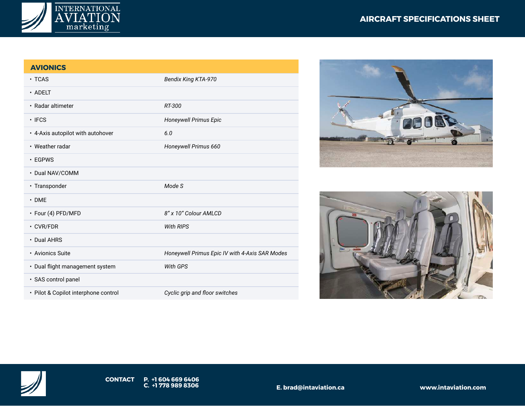



| <b>AVIONICS</b>                      |                                                |
|--------------------------------------|------------------------------------------------|
| $\cdot$ TCAS                         | <b>Bendix King KTA-970</b>                     |
| $\cdot$ ADELT                        |                                                |
| • Radar altimeter                    | RT-300                                         |
| $\cdot$ IFCS                         | Honeywell Primus Epic                          |
| • 4-Axis autopilot with autohover    | 6.0                                            |
| • Weather radar                      | Honeywell Primus 660                           |
| $\cdot$ EGPWS                        |                                                |
| • Dual NAV/COMM                      |                                                |
| • Transponder                        | Mode S                                         |
| $\cdot$ DME                          |                                                |
| · Four (4) PFD/MFD                   | 8" x 10" Colour AMLCD                          |
| $\cdot$ CVR/FDR                      | <b>With RIPS</b>                               |
| • Dual AHRS                          |                                                |
| • Avionics Suite                     | Honeywell Primus Epic IV with 4-Axis SAR Modes |
| • Dual flight management system      | <b>With GPS</b>                                |
| · SAS control panel                  |                                                |
| · Pilot & Copilot interphone control | Cyclic grip and floor switches                 |







**E. brad@intaviation.ca www.intaviation.com**